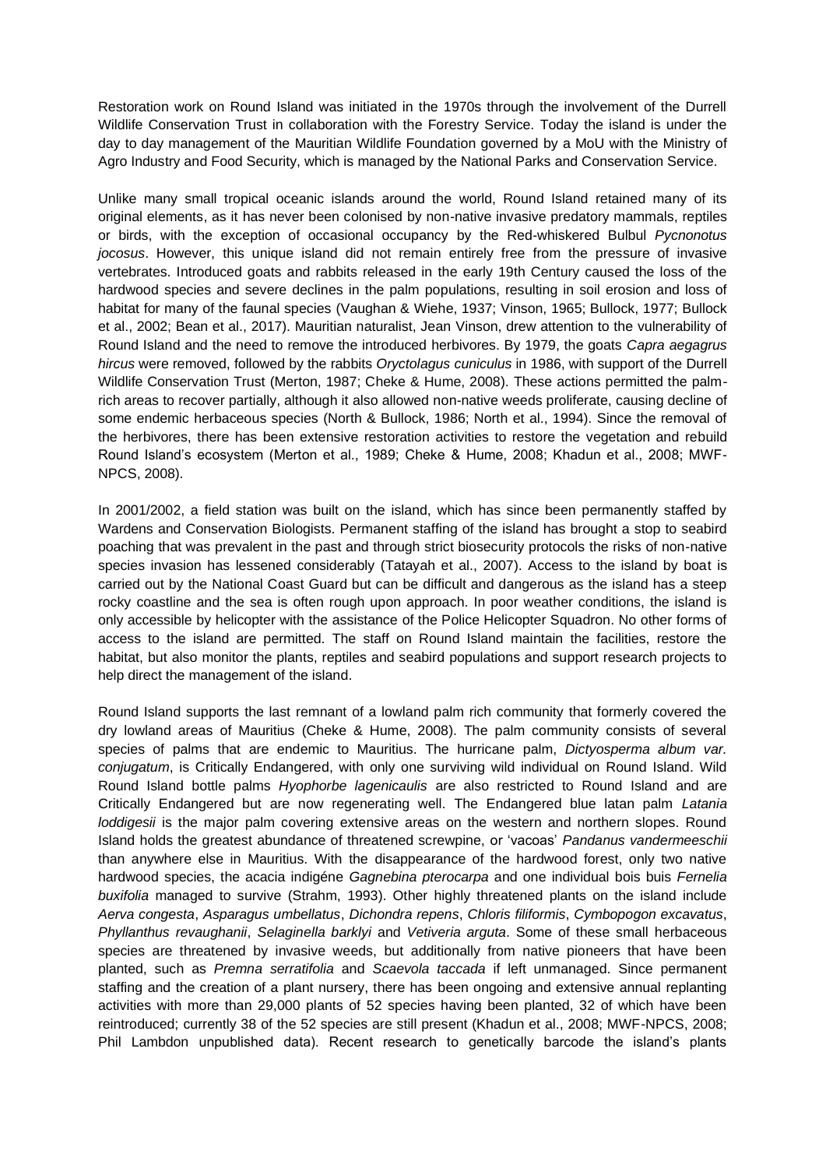Restoration work on Round Island was initiated in the 1970s through the involvement of the Durrell Wildlife Conservation Trust in collaboration with the Forestry Service. Today the island is under the day to day management of the Mauritian Wildlife Foundation governed by a MoU with the Ministry of Agro Industry and Food Security, which is managed by the National Parks and Conservation Service.

Unlike many small tropical oceanic islands around the world, Round Island retained many of its original elements, as it has never been colonised by non-native invasive predatory mammals, reptiles or birds, with the exception of occasional occupancy by the Red-whiskered Bulbul *Pycnonotus jocosus*. However, this unique island did not remain entirely free from the pressure of invasive vertebrates. Introduced goats and rabbits released in the early 19th Century caused the loss of the hardwood species and severe declines in the palm populations, resulting in soil erosion and loss of habitat for many of the faunal species (Vaughan & Wiehe, 1937; Vinson, 1965; Bullock, 1977; Bullock et al., 2002; Bean et al., 2017). Mauritian naturalist, Jean Vinson, drew attention to the vulnerability of Round Island and the need to remove the introduced herbivores. By 1979, the goats *Capra aegagrus hircus* were removed, followed by the rabbits *Oryctolagus cuniculus* in 1986, with support of the Durrell Wildlife Conservation Trust (Merton, 1987; Cheke & Hume, 2008). These actions permitted the palmrich areas to recover partially, although it also allowed non-native weeds proliferate, causing decline of some endemic herbaceous species (North & Bullock, 1986; North et al., 1994). Since the removal of the herbivores, there has been extensive restoration activities to restore the vegetation and rebuild Round Island's ecosystem (Merton et al., 1989; Cheke & Hume, 2008; Khadun et al., 2008; MWF-NPCS, 2008).

In 2001/2002, a field station was built on the island, which has since been permanently staffed by Wardens and Conservation Biologists. Permanent staffing of the island has brought a stop to seabird poaching that was prevalent in the past and through strict biosecurity protocols the risks of non-native species invasion has lessened considerably (Tatayah et al., 2007). Access to the island by boat is carried out by the National Coast Guard but can be difficult and dangerous as the island has a steep rocky coastline and the sea is often rough upon approach. In poor weather conditions, the island is only accessible by helicopter with the assistance of the Police Helicopter Squadron. No other forms of access to the island are permitted. The staff on Round Island maintain the facilities, restore the habitat, but also monitor the plants, reptiles and seabird populations and support research projects to help direct the management of the island.

Round Island supports the last remnant of a lowland palm rich community that formerly covered the dry lowland areas of Mauritius (Cheke & Hume, 2008). The palm community consists of several species of palms that are endemic to Mauritius. The hurricane palm, *Dictyosperma album var. conjugatum*, is Critically Endangered, with only one surviving wild individual on Round Island. Wild Round Island bottle palms *Hyophorbe lagenicaulis* are also restricted to Round Island and are Critically Endangered but are now regenerating well. The Endangered blue latan palm *Latania loddigesii* is the major palm covering extensive areas on the western and northern slopes. Round Island holds the greatest abundance of threatened screwpine, or 'vacoas' *Pandanus vandermeeschii* than anywhere else in Mauritius. With the disappearance of the hardwood forest, only two native hardwood species, the acacia indigéne *Gagnebina pterocarpa* and one individual bois buis *Fernelia buxifolia* managed to survive (Strahm, 1993). Other highly threatened plants on the island include *Aerva congesta*, *Asparagus umbellatus*, *Dichondra repens*, *Chloris filiformis*, *Cymbopogon excavatus*, *Phyllanthus revaughanii*, *Selaginella barklyi* and *Vetiveria arguta*. Some of these small herbaceous species are threatened by invasive weeds, but additionally from native pioneers that have been planted, such as *Premna serratifolia* and *Scaevola taccada* if left unmanaged. Since permanent staffing and the creation of a plant nursery, there has been ongoing and extensive annual replanting activities with more than 29,000 plants of 52 species having been planted, 32 of which have been reintroduced; currently 38 of the 52 species are still present (Khadun et al., 2008; MWF-NPCS, 2008; Phil Lambdon unpublished data). Recent research to genetically barcode the island's plants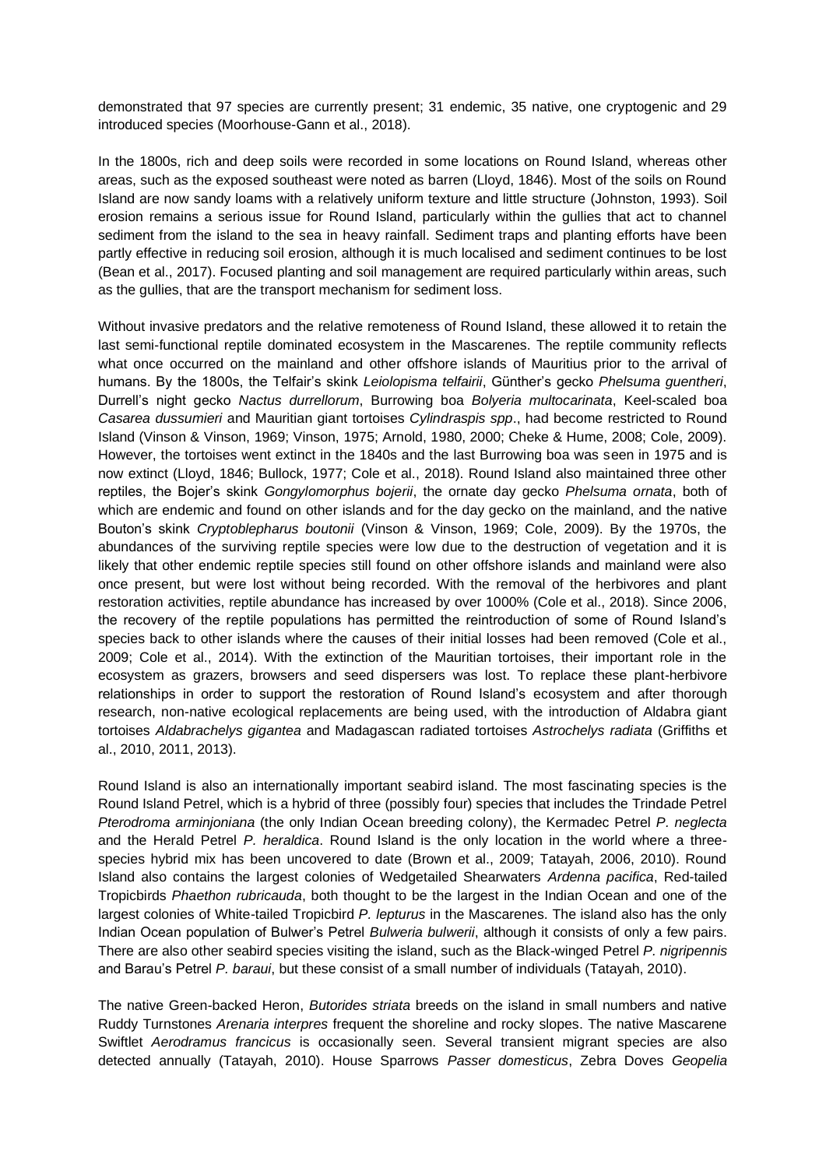demonstrated that 97 species are currently present; 31 endemic, 35 native, one cryptogenic and 29 introduced species (Moorhouse-Gann et al., 2018).

In the 1800s, rich and deep soils were recorded in some locations on Round Island, whereas other areas, such as the exposed southeast were noted as barren (Lloyd, 1846). Most of the soils on Round Island are now sandy loams with a relatively uniform texture and little structure (Johnston, 1993). Soil erosion remains a serious issue for Round Island, particularly within the gullies that act to channel sediment from the island to the sea in heavy rainfall. Sediment traps and planting efforts have been partly effective in reducing soil erosion, although it is much localised and sediment continues to be lost (Bean et al., 2017). Focused planting and soil management are required particularly within areas, such as the gullies, that are the transport mechanism for sediment loss.

Without invasive predators and the relative remoteness of Round Island, these allowed it to retain the last semi-functional reptile dominated ecosystem in the Mascarenes. The reptile community reflects what once occurred on the mainland and other offshore islands of Mauritius prior to the arrival of humans. By the 1800s, the Telfair's skink *Leiolopisma telfairii*, Günther's gecko *Phelsuma guentheri*, Durrell's night gecko *Nactus durrellorum*, Burrowing boa *Bolyeria multocarinata*, Keel-scaled boa *Casarea dussumieri* and Mauritian giant tortoises *Cylindraspis spp*., had become restricted to Round Island (Vinson & Vinson, 1969; Vinson, 1975; Arnold, 1980, 2000; Cheke & Hume, 2008; Cole, 2009). However, the tortoises went extinct in the 1840s and the last Burrowing boa was seen in 1975 and is now extinct (Lloyd, 1846; Bullock, 1977; Cole et al., 2018). Round Island also maintained three other reptiles, the Bojer's skink *Gongylomorphus bojerii*, the ornate day gecko *Phelsuma ornata*, both of which are endemic and found on other islands and for the day gecko on the mainland, and the native Bouton's skink *Cryptoblepharus boutonii* (Vinson & Vinson, 1969; Cole, 2009). By the 1970s, the abundances of the surviving reptile species were low due to the destruction of vegetation and it is likely that other endemic reptile species still found on other offshore islands and mainland were also once present, but were lost without being recorded. With the removal of the herbivores and plant restoration activities, reptile abundance has increased by over 1000% (Cole et al., 2018). Since 2006, the recovery of the reptile populations has permitted the reintroduction of some of Round Island's species back to other islands where the causes of their initial losses had been removed (Cole et al., 2009; Cole et al., 2014). With the extinction of the Mauritian tortoises, their important role in the ecosystem as grazers, browsers and seed dispersers was lost. To replace these plant-herbivore relationships in order to support the restoration of Round Island's ecosystem and after thorough research, non-native ecological replacements are being used, with the introduction of Aldabra giant tortoises *Aldabrachelys gigantea* and Madagascan radiated tortoises *Astrochelys radiata* (Griffiths et al., 2010, 2011, 2013).

Round Island is also an internationally important seabird island. The most fascinating species is the Round Island Petrel, which is a hybrid of three (possibly four) species that includes the Trindade Petrel *Pterodroma arminjoniana* (the only Indian Ocean breeding colony), the Kermadec Petrel *P. neglecta* and the Herald Petrel *P. heraldica*. Round Island is the only location in the world where a threespecies hybrid mix has been uncovered to date (Brown et al., 2009; Tatayah, 2006, 2010). Round Island also contains the largest colonies of Wedgetailed Shearwaters *Ardenna pacifica*, Red-tailed Tropicbirds *Phaethon rubricauda*, both thought to be the largest in the Indian Ocean and one of the largest colonies of White-tailed Tropicbird *P. lepturus* in the Mascarenes. The island also has the only Indian Ocean population of Bulwer's Petrel *Bulweria bulwerii*, although it consists of only a few pairs. There are also other seabird species visiting the island, such as the Black-winged Petrel *P. nigripennis* and Barau's Petrel *P. baraui*, but these consist of a small number of individuals (Tatayah, 2010).

The native Green-backed Heron, *Butorides striata* breeds on the island in small numbers and native Ruddy Turnstones *Arenaria interpres* frequent the shoreline and rocky slopes. The native Mascarene Swiftlet *Aerodramus francicus* is occasionally seen. Several transient migrant species are also detected annually (Tatayah, 2010). House Sparrows *Passer domesticus*, Zebra Doves *Geopelia*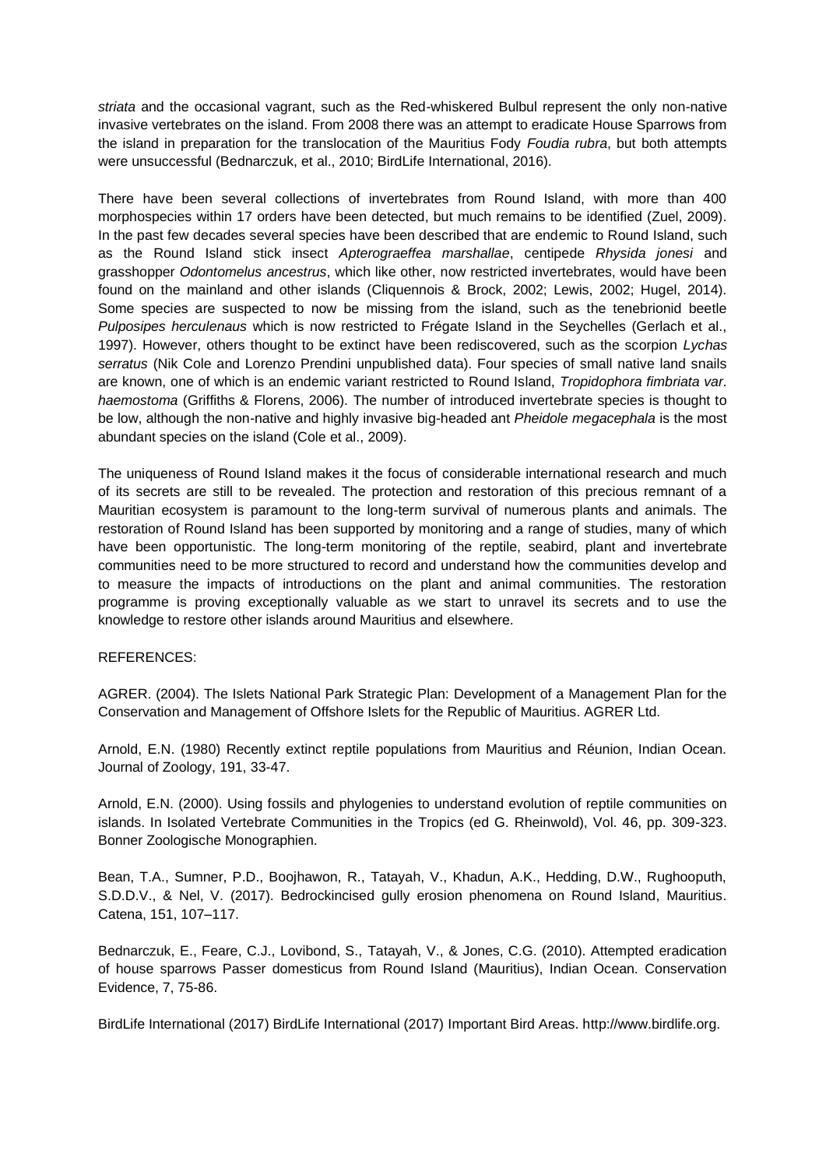*striata* and the occasional vagrant, such as the Red-whiskered Bulbul represent the only non-native invasive vertebrates on the island. From 2008 there was an attempt to eradicate House Sparrows from the island in preparation for the translocation of the Mauritius Fody *Foudia rubra*, but both attempts were unsuccessful (Bednarczuk, et al., 2010; BirdLife International, 2016).

There have been several collections of invertebrates from Round Island, with more than 400 morphospecies within 17 orders have been detected, but much remains to be identified (Zuel, 2009). In the past few decades several species have been described that are endemic to Round Island, such as the Round Island stick insect *Apterograeffea marshallae*, centipede *Rhysida jonesi* and grasshopper *Odontomelus ancestrus*, which like other, now restricted invertebrates, would have been found on the mainland and other islands (Cliquennois & Brock, 2002; Lewis, 2002; Hugel, 2014). Some species are suspected to now be missing from the island, such as the tenebrionid beetle *Pulposipes herculenaus* which is now restricted to Frégate Island in the Seychelles (Gerlach et al., 1997). However, others thought to be extinct have been rediscovered, such as the scorpion *Lychas serratus* (Nik Cole and Lorenzo Prendini unpublished data). Four species of small native land snails are known, one of which is an endemic variant restricted to Round Island, *Tropidophora fimbriata var. haemostoma* (Griffiths & Florens, 2006). The number of introduced invertebrate species is thought to be low, although the non-native and highly invasive big-headed ant *Pheidole megacephala* is the most abundant species on the island (Cole et al., 2009).

The uniqueness of Round Island makes it the focus of considerable international research and much of its secrets are still to be revealed. The protection and restoration of this precious remnant of a Mauritian ecosystem is paramount to the long-term survival of numerous plants and animals. The restoration of Round Island has been supported by monitoring and a range of studies, many of which have been opportunistic. The long-term monitoring of the reptile, seabird, plant and invertebrate communities need to be more structured to record and understand how the communities develop and to measure the impacts of introductions on the plant and animal communities. The restoration programme is proving exceptionally valuable as we start to unravel its secrets and to use the knowledge to restore other islands around Mauritius and elsewhere.

## REFERENCES:

AGRER. (2004). The Islets National Park Strategic Plan: Development of a Management Plan for the Conservation and Management of Offshore Islets for the Republic of Mauritius. AGRER Ltd.

Arnold, E.N. (1980) Recently extinct reptile populations from Mauritius and Réunion, Indian Ocean. Journal of Zoology, 191, 33-47.

Arnold, E.N. (2000). Using fossils and phylogenies to understand evolution of reptile communities on islands. In Isolated Vertebrate Communities in the Tropics (ed G. Rheinwold), Vol. 46, pp. 309-323. Bonner Zoologische Monographien.

Bean, T.A., Sumner, P.D., Boojhawon, R., Tatayah, V., Khadun, A.K., Hedding, D.W., Rughooputh, S.D.D.V., & Nel, V. (2017). Bedrockincised gully erosion phenomena on Round Island, Mauritius. Catena, 151, 107–117.

Bednarczuk, E., Feare, C.J., Lovibond, S., Tatayah, V., & Jones, C.G. (2010). Attempted eradication of house sparrows Passer domesticus from Round Island (Mauritius), Indian Ocean. Conservation Evidence, 7, 75-86.

BirdLife International (2017) BirdLife International (2017) Important Bird Areas. http://www.birdlife.org.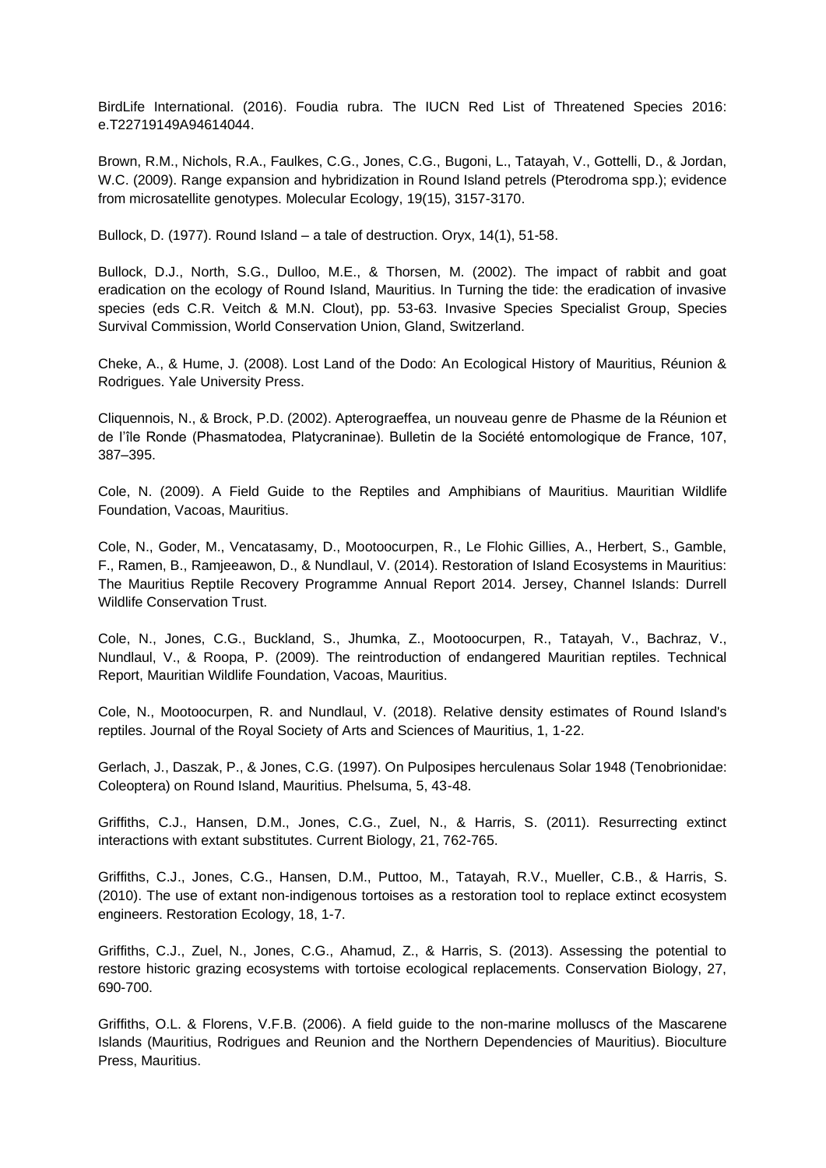BirdLife International. (2016). Foudia rubra. The IUCN Red List of Threatened Species 2016: e.T22719149A94614044.

Brown, R.M., Nichols, R.A., Faulkes, C.G., Jones, C.G., Bugoni, L., Tatayah, V., Gottelli, D., & Jordan, W.C. (2009). Range expansion and hybridization in Round Island petrels (Pterodroma spp.); evidence from microsatellite genotypes. Molecular Ecology, 19(15), 3157-3170.

Bullock, D. (1977). Round Island – a tale of destruction. Oryx, 14(1), 51-58.

Bullock, D.J., North, S.G., Dulloo, M.E., & Thorsen, M. (2002). The impact of rabbit and goat eradication on the ecology of Round Island, Mauritius. In Turning the tide: the eradication of invasive species (eds C.R. Veitch & M.N. Clout), pp. 53-63. Invasive Species Specialist Group, Species Survival Commission, World Conservation Union, Gland, Switzerland.

Cheke, A., & Hume, J. (2008). Lost Land of the Dodo: An Ecological History of Mauritius, Réunion & Rodrigues. Yale University Press.

Cliquennois, N., & Brock, P.D. (2002). Apterograeffea, un nouveau genre de Phasme de la Réunion et de I'île Ronde (Phasmatodea, Platycraninae). Bulletin de la Société entomologique de France, 107, 387–395.

Cole, N. (2009). A Field Guide to the Reptiles and Amphibians of Mauritius. Mauritian Wildlife Foundation, Vacoas, Mauritius.

Cole, N., Goder, M., Vencatasamy, D., Mootoocurpen, R., Le Flohic Gillies, A., Herbert, S., Gamble, F., Ramen, B., Ramjeeawon, D., & Nundlaul, V. (2014). Restoration of Island Ecosystems in Mauritius: The Mauritius Reptile Recovery Programme Annual Report 2014. Jersey, Channel Islands: Durrell Wildlife Conservation Trust.

Cole, N., Jones, C.G., Buckland, S., Jhumka, Z., Mootoocurpen, R., Tatayah, V., Bachraz, V., Nundlaul, V., & Roopa, P. (2009). The reintroduction of endangered Mauritian reptiles. Technical Report, Mauritian Wildlife Foundation, Vacoas, Mauritius.

Cole, N., Mootoocurpen, R. and Nundlaul, V. (2018). Relative density estimates of Round Island's reptiles. Journal of the Royal Society of Arts and Sciences of Mauritius, 1, 1-22.

Gerlach, J., Daszak, P., & Jones, C.G. (1997). On Pulposipes herculenaus Solar 1948 (Tenobrionidae: Coleoptera) on Round Island, Mauritius. Phelsuma, 5, 43-48.

Griffiths, C.J., Hansen, D.M., Jones, C.G., Zuel, N., & Harris, S. (2011). Resurrecting extinct interactions with extant substitutes. Current Biology, 21, 762-765.

Griffiths, C.J., Jones, C.G., Hansen, D.M., Puttoo, M., Tatayah, R.V., Mueller, C.B., & Harris, S. (2010). The use of extant non-indigenous tortoises as a restoration tool to replace extinct ecosystem engineers. Restoration Ecology, 18, 1-7.

Griffiths, C.J., Zuel, N., Jones, C.G., Ahamud, Z., & Harris, S. (2013). Assessing the potential to restore historic grazing ecosystems with tortoise ecological replacements. Conservation Biology, 27, 690-700.

Griffiths, O.L. & Florens, V.F.B. (2006). A field guide to the non-marine molluscs of the Mascarene Islands (Mauritius, Rodrigues and Reunion and the Northern Dependencies of Mauritius). Bioculture Press, Mauritius.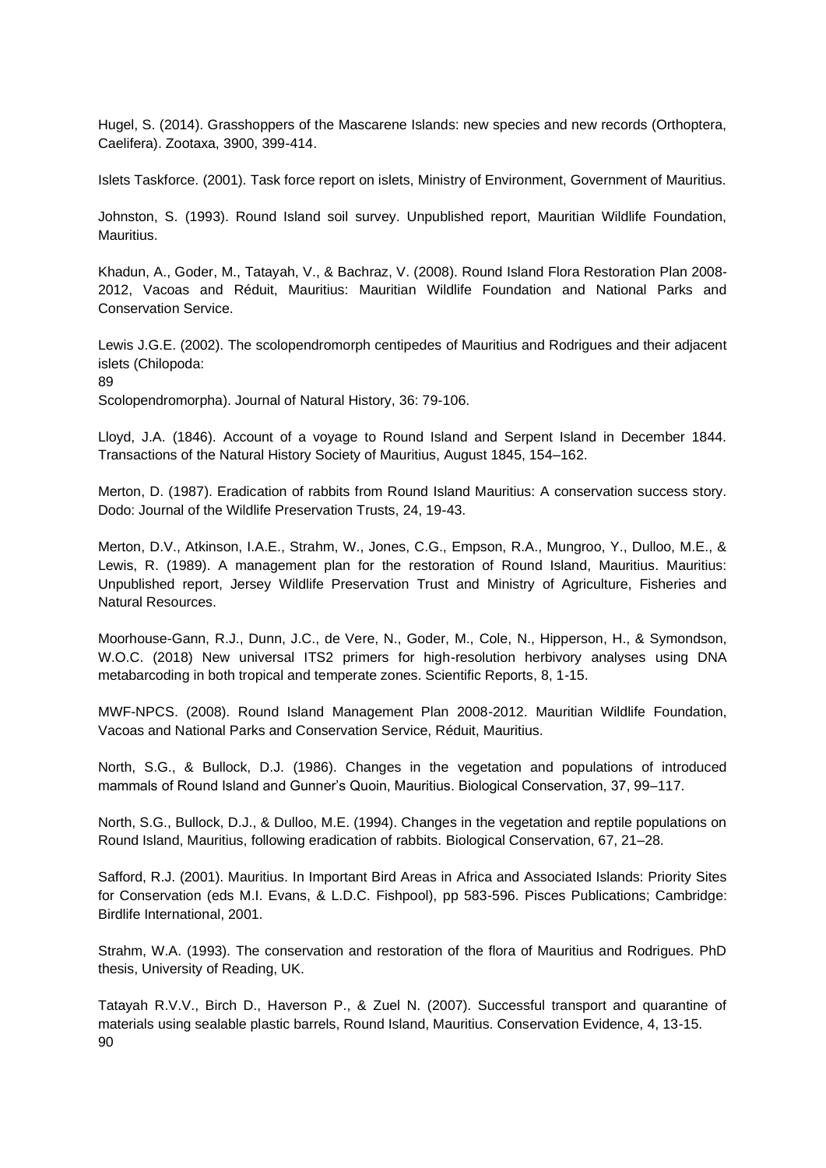Hugel, S. (2014). Grasshoppers of the Mascarene Islands: new species and new records (Orthoptera, Caelifera). Zootaxa, 3900, 399-414.

Islets Taskforce. (2001). Task force report on islets, Ministry of Environment, Government of Mauritius.

Johnston, S. (1993). Round Island soil survey. Unpublished report, Mauritian Wildlife Foundation, Mauritius.

Khadun, A., Goder, M., Tatayah, V., & Bachraz, V. (2008). Round Island Flora Restoration Plan 2008- 2012, Vacoas and Réduit, Mauritius: Mauritian Wildlife Foundation and National Parks and Conservation Service.

Lewis J.G.E. (2002). The scolopendromorph centipedes of Mauritius and Rodrigues and their adjacent islets (Chilopoda:

89

Scolopendromorpha). Journal of Natural History, 36: 79-106.

Lloyd, J.A. (1846). Account of a voyage to Round Island and Serpent Island in December 1844. Transactions of the Natural History Society of Mauritius, August 1845, 154–162.

Merton, D. (1987). Eradication of rabbits from Round Island Mauritius: A conservation success story. Dodo: Journal of the Wildlife Preservation Trusts, 24, 19-43.

Merton, D.V., Atkinson, I.A.E., Strahm, W., Jones, C.G., Empson, R.A., Mungroo, Y., Dulloo, M.E., & Lewis, R. (1989). A management plan for the restoration of Round Island, Mauritius. Mauritius: Unpublished report, Jersey Wildlife Preservation Trust and Ministry of Agriculture, Fisheries and Natural Resources.

Moorhouse-Gann, R.J., Dunn, J.C., de Vere, N., Goder, M., Cole, N., Hipperson, H., & Symondson, W.O.C. (2018) New universal ITS2 primers for high-resolution herbivory analyses using DNA metabarcoding in both tropical and temperate zones. Scientific Reports, 8, 1-15.

MWF-NPCS. (2008). Round Island Management Plan 2008-2012. Mauritian Wildlife Foundation, Vacoas and National Parks and Conservation Service, Réduit, Mauritius.

North, S.G., & Bullock, D.J. (1986). Changes in the vegetation and populations of introduced mammals of Round Island and Gunner's Quoin, Mauritius. Biological Conservation, 37, 99–117.

North, S.G., Bullock, D.J., & Dulloo, M.E. (1994). Changes in the vegetation and reptile populations on Round Island, Mauritius, following eradication of rabbits. Biological Conservation, 67, 21–28.

Safford, R.J. (2001). Mauritius. In Important Bird Areas in Africa and Associated Islands: Priority Sites for Conservation (eds M.I. Evans, & L.D.C. Fishpool), pp 583-596. Pisces Publications; Cambridge: Birdlife International, 2001.

Strahm, W.A. (1993). The conservation and restoration of the flora of Mauritius and Rodrigues. PhD thesis, University of Reading, UK.

Tatayah R.V.V., Birch D., Haverson P., & Zuel N. (2007). Successful transport and quarantine of materials using sealable plastic barrels, Round Island, Mauritius. Conservation Evidence, 4, 13-15. 90